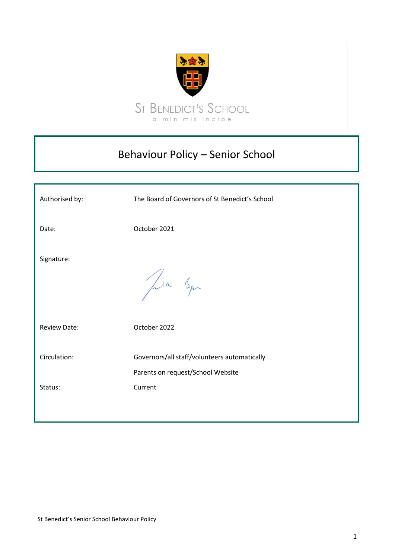

# Behaviour Policy – Senior School

| Authorised by:          | The Board of Governors of St Benedict's School                                               |
|-------------------------|----------------------------------------------------------------------------------------------|
| Date:                   | October 2021                                                                                 |
| Signature:              | Jula Squ                                                                                     |
| <b>Review Date:</b>     | October 2022                                                                                 |
| Circulation:<br>Status: | Governors/all staff/volunteers automatically<br>Parents on request/School Website<br>Current |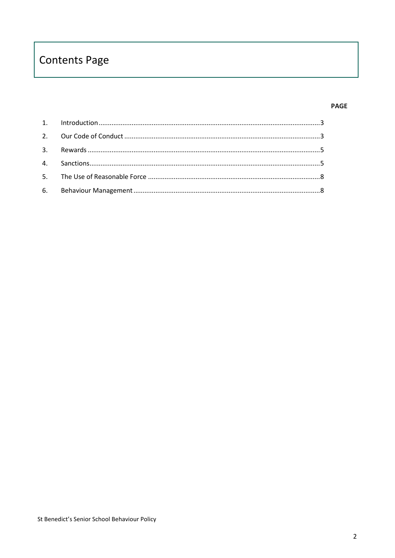# **Contents Page**

## **PAGE**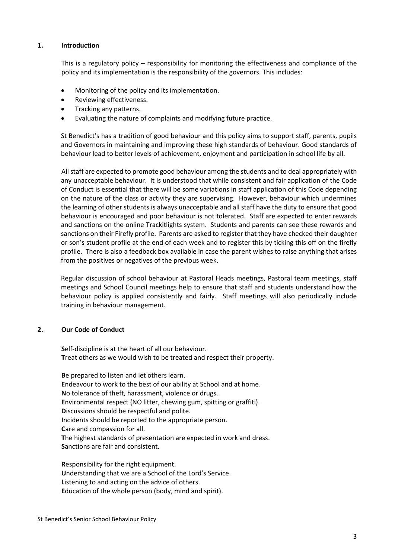#### <span id="page-2-0"></span>**1. Introduction**

This is a regulatory policy – responsibility for monitoring the effectiveness and compliance of the policy and its implementation is the responsibility of the governors. This includes:

- Monitoring of the policy and its implementation.
- Reviewing effectiveness.
- Tracking any patterns.
- Evaluating the nature of complaints and modifying future practice.

St Benedict's has a tradition of good behaviour and this policy aims to support staff, parents, pupils and Governors in maintaining and improving these high standards of behaviour. Good standards of behaviour lead to better levels of achievement, enjoyment and participation in school life by all.

All staff are expected to promote good behaviour among the students and to deal appropriately with any unacceptable behaviour. It is understood that while consistent and fair application of the Code of Conduct is essential that there will be some variations in staff application of this Code depending on the nature of the class or activity they are supervising. However, behaviour which undermines the learning of other students is always unacceptable and all staff have the duty to ensure that good behaviour is encouraged and poor behaviour is not tolerated. Staff are expected to enter rewards and sanctions on the online Trackitlights system. Students and parents can see these rewards and sanctions on their Firefly profile. Parents are asked to register that they have checked their daughter or son's student profile at the end of each week and to register this by ticking this off on the firefly profile. There is also a feedback box available in case the parent wishes to raise anything that arises from the positives or negatives of the previous week.

Regular discussion of school behaviour at Pastoral Heads meetings, Pastoral team meetings, staff meetings and School Council meetings help to ensure that staff and students understand how the behaviour policy is applied consistently and fairly. Staff meetings will also periodically include training in behaviour management.

# <span id="page-2-1"></span>**2. Our Code of Conduct**

**S**elf-discipline is at the heart of all our behaviour. **T**reat others as we would wish to be treated and respect their property.

**B**e prepared to listen and let others learn. **E**ndeavour to work to the best of our ability at School and at home. **N**o tolerance of theft, harassment, violence or drugs. **E**nvironmental respect (NO litter, chewing gum, spitting or graffiti). **D**iscussions should be respectful and polite. **I**ncidents should be reported to the appropriate person. **C**are and compassion for all. **T**he highest standards of presentation are expected in work and dress. **S**anctions are fair and consistent.

**R**esponsibility for the right equipment. **U**nderstanding that we are a School of the Lord's Service. Listening to and acting on the advice of others. **E**ducation of the whole person (body, mind and spirit).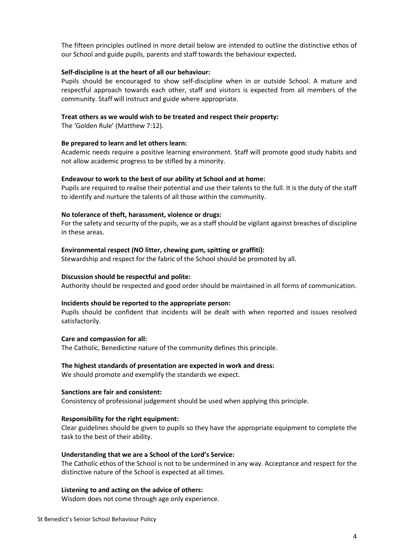The fifteen principles outlined in more detail below are intended to outline the distinctive ethos of our School and guide pupils, parents and staff towards the behaviour expected**.** 

#### **Self-discipline is at the heart of all our behaviour:**

Pupils should be encouraged to show self-discipline when in or outside School. A mature and respectful approach towards each other, staff and visitors is expected from all members of the community. Staff will instruct and guide where appropriate.

#### **Treat others as we would wish to be treated and respect their property:**

The 'Golden Rule' (Matthew 7:12).

#### **Be prepared to learn and let others learn:**

Academic needs require a positive learning environment. Staff will promote good study habits and not allow academic progress to be stifled by a minority.

#### **Endeavour to work to the best of our ability at School and at home:**

Pupils are required to realise their potential and use their talents to the full. It is the duty of the staff to identify and nurture the talents of all those within the community.

#### **No tolerance of theft, harassment, violence or drugs:**

For the safety and security of the pupils, we as a staff should be vigilant against breaches of discipline in these areas.

#### **Environmental respect (NO litter, chewing gum, spitting or graffiti):**

Stewardship and respect for the fabric of the School should be promoted by all.

#### **Discussion should be respectful and polite:**

Authority should be respected and good order should be maintained in all forms of communication.

#### **Incidents should be reported to the appropriate person:**

Pupils should be confident that incidents will be dealt with when reported and issues resolved satisfactorily.

#### **Care and compassion for all:**

The Catholic, Benedictine nature of the community defines this principle.

#### **The highest standards of presentation are expected in work and dress:**

We should promote and exemplify the standards we expect.

#### **Sanctions are fair and consistent:**

Consistency of professional judgement should be used when applying this principle.

#### **Responsibility for the right equipment:**

Clear guidelines should be given to pupils so they have the appropriate equipment to complete the task to the best of their ability.

#### **Understanding that we are a School of the Lord's Service:**

The Catholic ethos of the School is not to be undermined in any way. Acceptance and respect for the distinctive nature of the School is expected at all times.

#### **Listening to and acting on the advice of others:**

Wisdom does not come through age only experience.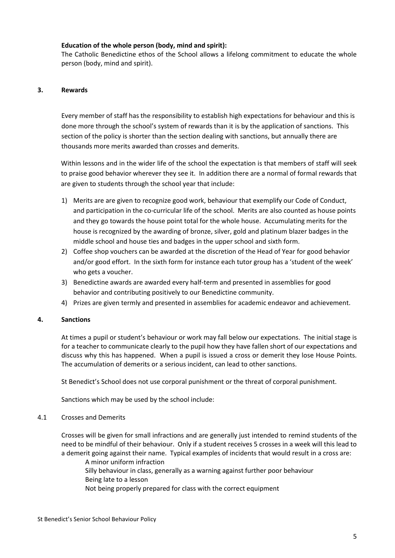## **Education of the whole person (body, mind and spirit):**

The Catholic Benedictine ethos of the School allows a lifelong commitment to educate the whole person (body, mind and spirit).

## <span id="page-4-0"></span>**3. Rewards**

Every member of staff has the responsibility to establish high expectations for behaviour and this is done more through the school's system of rewards than it is by the application of sanctions. This section of the policy is shorter than the section dealing with sanctions, but annually there are thousands more merits awarded than crosses and demerits.

Within lessons and in the wider life of the school the expectation is that members of staff will seek to praise good behavior wherever they see it. In addition there are a normal of formal rewards that are given to students through the school year that include:

- 1) Merits are are given to recognize good work, behaviour that exemplify our Code of Conduct, and participation in the co-curricular life of the school. Merits are also counted as house points and they go towards the house point total for the whole house. Accumulating merits for the house is recognized by the awarding of bronze, silver, gold and platinum blazer badges in the middle school and house ties and badges in the upper school and sixth form.
- 2) Coffee shop vouchers can be awarded at the discretion of the Head of Year for good behavior and/or good effort. In the sixth form for instance each tutor group has a 'student of the week' who gets a voucher.
- 3) Benedictine awards are awarded every half-term and presented in assemblies for good behavior and contributing positively to our Benedictine community.
- 4) Prizes are given termly and presented in assemblies for academic endeavor and achievement.

#### <span id="page-4-1"></span>**4. Sanctions**

At times a pupil or student's behaviour or work may fall below our expectations. The initial stage is for a teacher to communicate clearly to the pupil how they have fallen short of our expectations and discuss why this has happened. When a pupil is issued a cross or demerit they lose House Points. The accumulation of demerits or a serious incident, can lead to other sanctions.

St Benedict's School does not use corporal punishment or the threat of corporal punishment.

Sanctions which may be used by the school include:

#### 4.1 Crosses and Demerits

Crosses will be given for small infractions and are generally just intended to remind students of the need to be mindful of their behaviour. Only if a student receives 5 crosses in a week will this lead to a demerit going against their name. Typical examples of incidents that would result in a cross are:

A minor uniform infraction

Silly behaviour in class, generally as a warning against further poor behaviour Being late to a lesson

Not being properly prepared for class with the correct equipment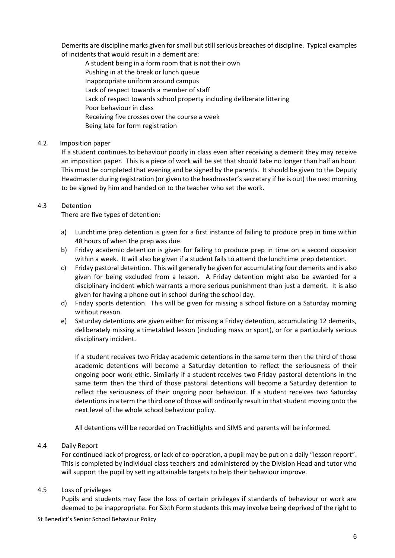Demerits are discipline marks given for small but still serious breaches of discipline. Typical examples of incidents that would result in a demerit are:

A student being in a form room that is not their own Pushing in at the break or lunch queue Inappropriate uniform around campus Lack of respect towards a member of staff Lack of respect towards school property including deliberate littering Poor behaviour in class Receiving five crosses over the course a week Being late for form registration

## 4.2 Imposition paper

If a student continues to behaviour poorly in class even after receiving a demerit they may receive an imposition paper. This is a piece of work will be set that should take no longer than half an hour. This must be completed that evening and be signed by the parents. It should be given to the Deputy Headmaster during registration (or given to the headmaster's secretary if he is out) the next morning to be signed by him and handed on to the teacher who set the work.

## 4.3 Detention

There are five types of detention:

- a) Lunchtime prep detention is given for a first instance of failing to produce prep in time within 48 hours of when the prep was due.
- b) Friday academic detention is given for failing to produce prep in time on a second occasion within a week. It will also be given if a student fails to attend the lunchtime prep detention.
- c) Friday pastoral detention. This will generally be given for accumulating four demerits and is also given for being excluded from a lesson. A Friday detention might also be awarded for a disciplinary incident which warrants a more serious punishment than just a demerit. It is also given for having a phone out in school during the school day.
- d) Friday sports detention. This will be given for missing a school fixture on a Saturday morning without reason.
- e) Saturday detentions are given either for missing a Friday detention, accumulating 12 demerits, deliberately missing a timetabled lesson (including mass or sport), or for a particularly serious disciplinary incident.

If a student receives two Friday academic detentions in the same term then the third of those academic detentions will become a Saturday detention to reflect the seriousness of their ongoing poor work ethic. Similarly if a student receives two Friday pastoral detentions in the same term then the third of those pastoral detentions will become a Saturday detention to reflect the seriousness of their ongoing poor behaviour. If a student receives two Saturday detentions in a term the third one of those will ordinarily result in that student moving onto the next level of the whole school behaviour policy.

All detentions will be recorded on Trackitlights and SIMS and parents will be informed.

# 4.4 Daily Report

For continued lack of progress, or lack of co-operation, a pupil may be put on a daily "lesson report". This is completed by individual class teachers and administered by the Division Head and tutor who will support the pupil by setting attainable targets to help their behaviour improve.

# 4.5 Loss of privileges

Pupils and students may face the loss of certain privileges if standards of behaviour or work are deemed to be inappropriate. For Sixth Form students this may involve being deprived of the right to

St Benedict's Senior School Behaviour Policy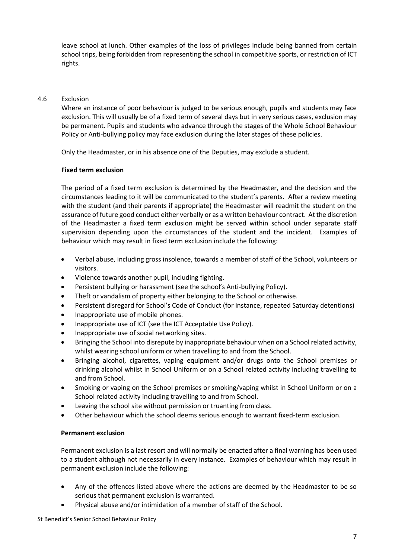leave school at lunch. Other examples of the loss of privileges include being banned from certain school trips, being forbidden from representing the school in competitive sports, or restriction of ICT rights.

## 4.6 Exclusion

Where an instance of poor behaviour is judged to be serious enough, pupils and students may face exclusion. This will usually be of a fixed term of several days but in very serious cases, exclusion may be permanent. Pupils and students who advance through the stages of the Whole School Behaviour Policy or Anti-bullying policy may face exclusion during the later stages of these policies.

Only the Headmaster, or in his absence one of the Deputies, may exclude a student.

#### **Fixed term exclusion**

The period of a fixed term exclusion is determined by the Headmaster, and the decision and the circumstances leading to it will be communicated to the student's parents. After a review meeting with the student (and their parents if appropriate) the Headmaster will readmit the student on the assurance of future good conduct either verbally or as a written behaviour contract. At the discretion of the Headmaster a fixed term exclusion might be served within school under separate staff supervision depending upon the circumstances of the student and the incident. Examples of behaviour which may result in fixed term exclusion include the following:

- Verbal abuse, including gross insolence, towards a member of staff of the School, volunteers or visitors.
- Violence towards another pupil, including fighting.
- Persistent bullying or harassment (see the school's Anti-bullying Policy).
- Theft or vandalism of property either belonging to the School or otherwise.
- Persistent disregard for School's Code of Conduct (for instance, repeated Saturday detentions)
- Inappropriate use of mobile phones.
- Inappropriate use of ICT (see the ICT Acceptable Use Policy).
- Inappropriate use of social networking sites.
- Bringing the School into disrepute by inappropriate behaviour when on a School related activity, whilst wearing school uniform or when travelling to and from the School.
- Bringing alcohol, cigarettes, vaping equipment and/or drugs onto the School premises or drinking alcohol whilst in School Uniform or on a School related activity including travelling to and from School.
- Smoking or vaping on the School premises or smoking/vaping whilst in School Uniform or on a School related activity including travelling to and from School.
- Leaving the school site without permission or truanting from class.
- Other behaviour which the school deems serious enough to warrant fixed-term exclusion.

# **Permanent exclusion**

Permanent exclusion is a last resort and will normally be enacted after a final warning has been used to a student although not necessarily in every instance. Examples of behaviour which may result in permanent exclusion include the following:

- Any of the offences listed above where the actions are deemed by the Headmaster to be so serious that permanent exclusion is warranted.
- Physical abuse and/or intimidation of a member of staff of the School.

St Benedict's Senior School Behaviour Policy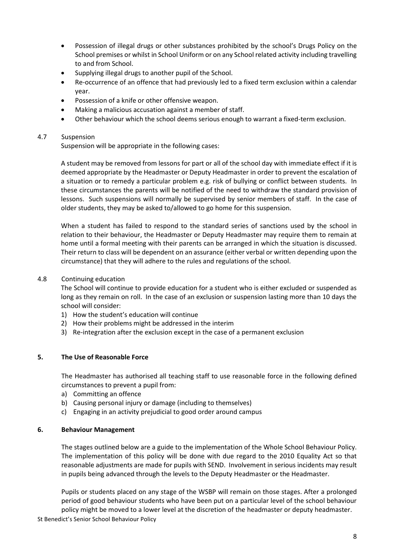- Possession of illegal drugs or other substances prohibited by the school's Drugs Policy on the School premises or whilst in School Uniform or on any School related activity including travelling to and from School.
- Supplying illegal drugs to another pupil of the School.
- Re-occurrence of an offence that had previously led to a fixed term exclusion within a calendar year.
- Possession of a knife or other offensive weapon.
- Making a malicious accusation against a member of staff.
- Other behaviour which the school deems serious enough to warrant a fixed-term exclusion.

# 4.7 Suspension

Suspension will be appropriate in the following cases:

A student may be removed from lessons for part or all of the school day with immediate effect if it is deemed appropriate by the Headmaster or Deputy Headmaster in order to prevent the escalation of a situation or to remedy a particular problem e.g. risk of bullying or conflict between students. In these circumstances the parents will be notified of the need to withdraw the standard provision of lessons. Such suspensions will normally be supervised by senior members of staff. In the case of older students, they may be asked to/allowed to go home for this suspension.

When a student has failed to respond to the standard series of sanctions used by the school in relation to their behaviour, the Headmaster or Deputy Headmaster may require them to remain at home until a formal meeting with their parents can be arranged in which the situation is discussed. Their return to class will be dependent on an assurance (either verbal or written depending upon the circumstance) that they will adhere to the rules and regulations of the school.

## 4.8 Continuing education

The School will continue to provide education for a student who is either excluded or suspended as long as they remain on roll. In the case of an exclusion or suspension lasting more than 10 days the school will consider:

- 1) How the student's education will continue
- 2) How their problems might be addressed in the interim
- 3) Re-integration after the exclusion except in the case of a permanent exclusion

## <span id="page-7-0"></span>**5. The Use of Reasonable Force**

The Headmaster has authorised all teaching staff to use reasonable force in the following defined circumstances to prevent a pupil from:

- a) Committing an offence
- b) Causing personal injury or damage (including to themselves)
- c) Engaging in an activity prejudicial to good order around campus

#### <span id="page-7-1"></span>**6. Behaviour Management**

The stages outlined below are a guide to the implementation of the Whole School Behaviour Policy. The implementation of this policy will be done with due regard to the 2010 Equality Act so that reasonable adjustments are made for pupils with SEND. Involvement in serious incidents may result in pupils being advanced through the levels to the Deputy Headmaster or the Headmaster.

Pupils or students placed on any stage of the WSBP will remain on those stages. After a prolonged period of good behaviour students who have been put on a particular level of the school behaviour policy might be moved to a lower level at the discretion of the headmaster or deputy headmaster.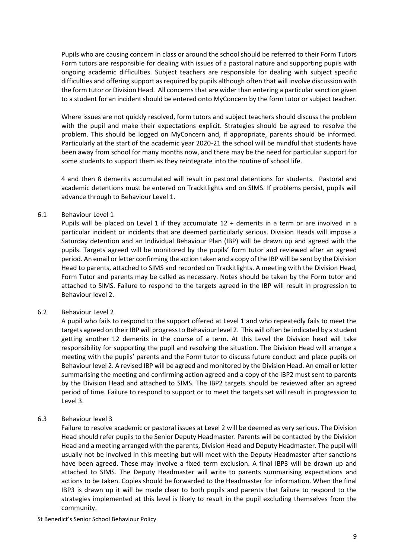Pupils who are causing concern in class or around the school should be referred to their Form Tutors Form tutors are responsible for dealing with issues of a pastoral nature and supporting pupils with ongoing academic difficulties. Subject teachers are responsible for dealing with subject specific difficulties and offering support as required by pupils although often that will involve discussion with the form tutor or Division Head. All concerns that are wider than entering a particular sanction given to a student for an incident should be entered onto MyConcern by the form tutor or subject teacher.

Where issues are not quickly resolved, form tutors and subject teachers should discuss the problem with the pupil and make their expectations explicit. Strategies should be agreed to resolve the problem. This should be logged on MyConcern and, if appropriate, parents should be informed. Particularly at the start of the academic year 2020-21 the school will be mindful that students have been away from school for many months now, and there may be the need for particular support for some students to support them as they reintegrate into the routine of school life.

4 and then 8 demerits accumulated will result in pastoral detentions for students. Pastoral and academic detentions must be entered on Trackitlights and on SIMS. If problems persist, pupils will advance through to Behaviour Level 1.

#### 6.1 Behaviour Level 1

Pupils will be placed on Level 1 if they accumulate 12 + demerits in a term or are involved in a particular incident or incidents that are deemed particularly serious. Division Heads will impose a Saturday detention and an Individual Behaviour Plan (IBP) will be drawn up and agreed with the pupils. Targets agreed will be monitored by the pupils' form tutor and reviewed after an agreed period. An email or letter confirming the action taken and a copy of the IBP will be sent by the Division Head to parents, attached to SIMS and recorded on Trackitlights. A meeting with the Division Head, Form Tutor and parents may be called as necessary. Notes should be taken by the Form tutor and attached to SIMS. Failure to respond to the targets agreed in the IBP will result in progression to Behaviour level 2.

#### 6.2 Behaviour Level 2

A pupil who fails to respond to the support offered at Level 1 and who repeatedly fails to meet the targets agreed on their IBP will progress to Behaviour level 2. This will often be indicated by a student getting another 12 demerits in the course of a term. At this Level the Division head will take responsibility for supporting the pupil and resolving the situation. The Division Head will arrange a meeting with the pupils' parents and the Form tutor to discuss future conduct and place pupils on Behaviour level 2. A revised IBP will be agreed and monitored by the Division Head. An email or letter summarising the meeting and confirming action agreed and a copy of the IBP2 must sent to parents by the Division Head and attached to SIMS. The IBP2 targets should be reviewed after an agreed period of time. Failure to respond to support or to meet the targets set will result in progression to Level 3.

#### 6.3 Behaviour level 3

Failure to resolve academic or pastoral issues at Level 2 will be deemed as very serious. The Division Head should refer pupils to the Senior Deputy Headmaster. Parents will be contacted by the Division Head and a meeting arranged with the parents, Division Head and Deputy Headmaster. The pupil will usually not be involved in this meeting but will meet with the Deputy Headmaster after sanctions have been agreed. These may involve a fixed term exclusion. A final IBP3 will be drawn up and attached to SIMS. The Deputy Headmaster will write to parents summarising expectations and actions to be taken. Copies should be forwarded to the Headmaster for information. When the final IBP3 is drawn up it will be made clear to both pupils and parents that failure to respond to the strategies implemented at this level is likely to result in the pupil excluding themselves from the community.

St Benedict's Senior School Behaviour Policy